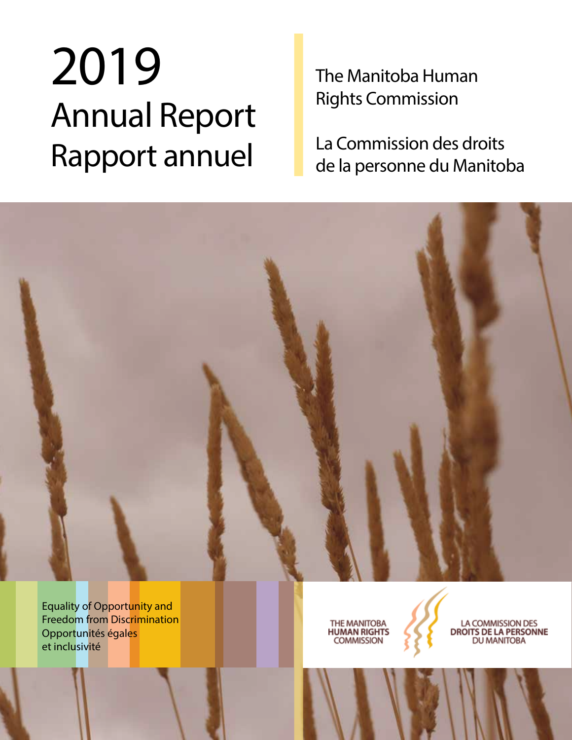# 2019 Annual Report Rapport annuel

The Manitoba Human Rights Commission

La Commission des droits de la personne du Manitoba

Equality of Opportunity and Freedom from Discrimination Opportunités égales et inclusivité



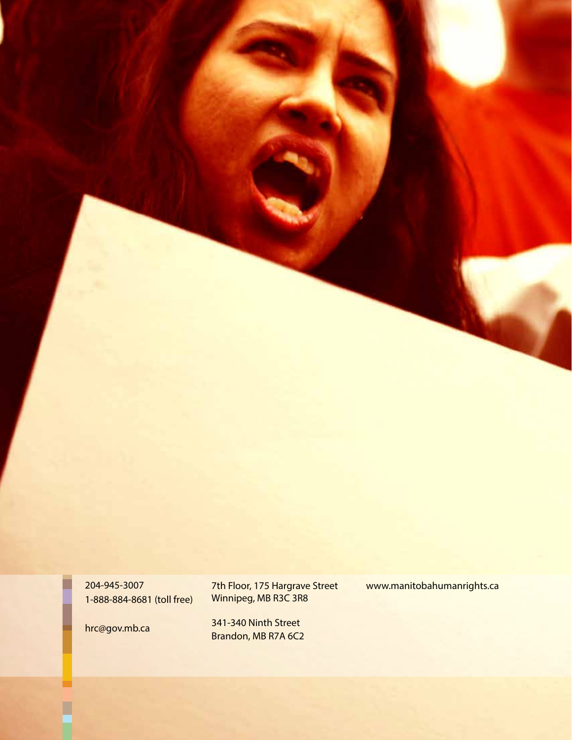204-945-3007 1-888-884-8681 (toll free)

7th Floor, 175 Hargrave Street Winnipeg, MB R3C 3R8

www.manitobahumanrights.ca

hrc@gov.mb.ca

341-340 Ninth Street Brandon, MB R7A 6C2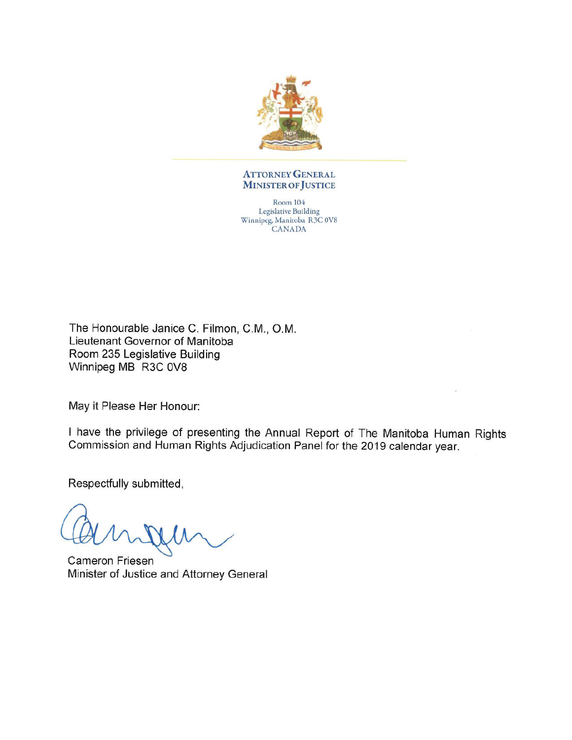

#### **ATTORNEY GENERAL MINISTER OF JUSTICE**

Room 104 Legislative Building Winnipeg, Manitoba R3C 0V8 **CANADA** 

The Honourable Janice C. Filmon, C.M., O.M. Lieutenant Governor of Manitoba Room 235 Legislative Building Winnipeg MB R3C 0V8

May it Please Her Honour:

I have the privilege of presenting the Annual Report of The Manitoba Human Rights Commission and Human Rights Adjudication Panel for the 2019 calendar year.

Respectfully submitted,

Cameron Friesen Minister of Justice and Attorney General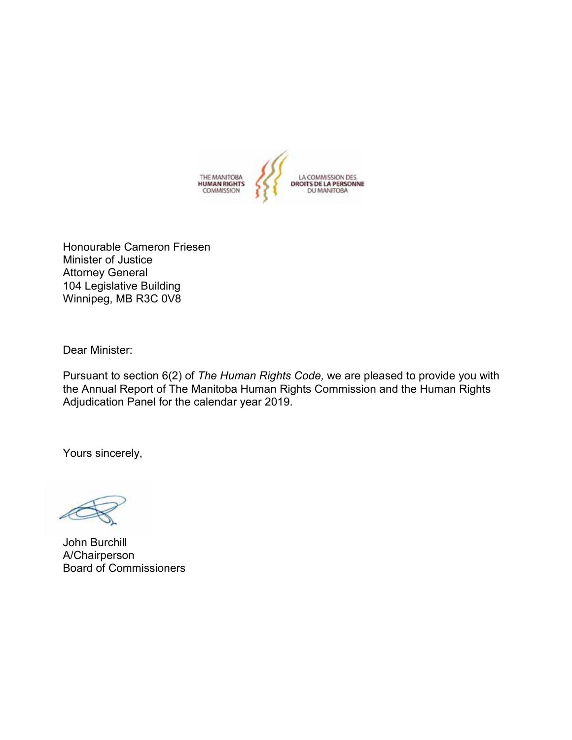

Honourable Cameron Friesen Minister of Justice Attorney General 104 Legislative Building Winnipeg, MB R3C 0V8

Dear Minister:

Pursuant to section 6(2) of *The Human Rights Code,* we are pleased to provide you with the Annual Report of The Manitoba Human Rights Commission and the Human Rights Adjudication Panel for the calendar year 2019.

Yours sincerely,

John Burchill A/Chairperson Board of Commissioners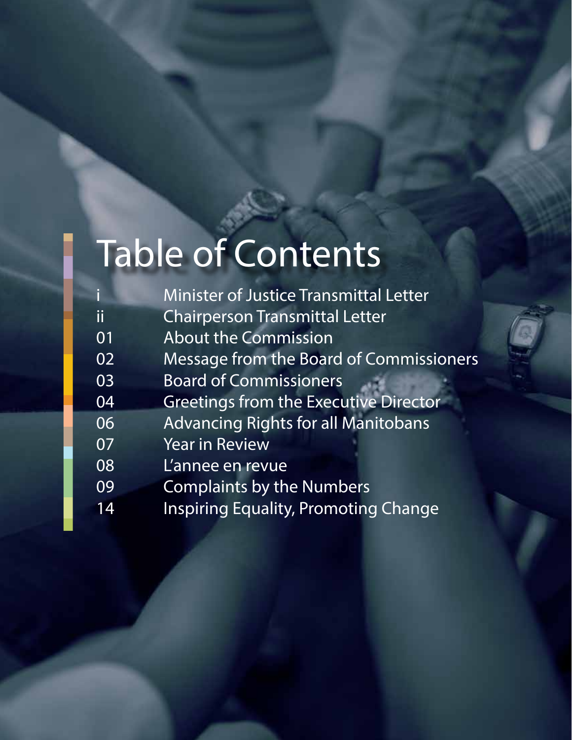# Table of Contents

| -i | <b>Minister of Justice Transmittal Letter</b> |
|----|-----------------------------------------------|
| ii | <b>Chairperson Transmittal Letter</b>         |
| 01 | <b>About the Commission</b>                   |
| 02 | Message from the Board of Commissioners       |
| 03 | <b>Board of Commissioners</b>                 |
| 04 | <b>Greetings from the Executive Director</b>  |
| 06 | <b>Advancing Rights for all Manitobans</b>    |
| 07 | <b>Year in Review</b>                         |
| 08 | L'annee en revue                              |
| 09 | <b>Complaints by the Numbers</b>              |
| 14 | <b>Inspiring Equality, Promoting Change</b>   |
|    |                                               |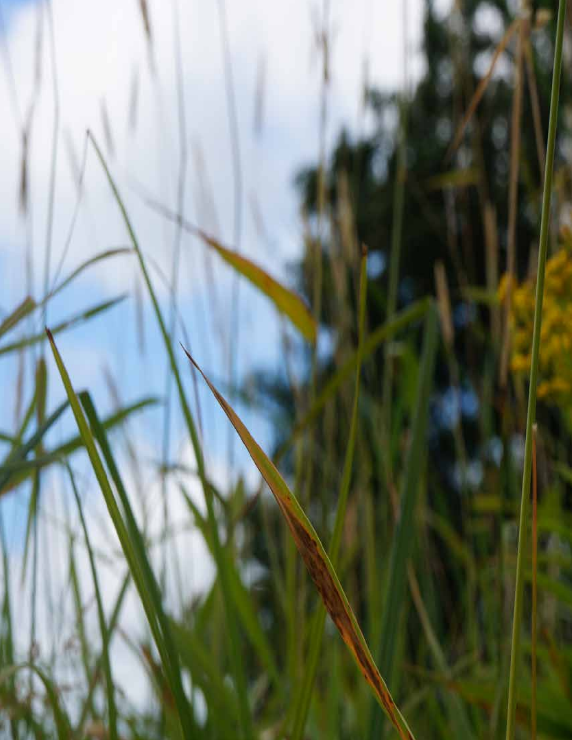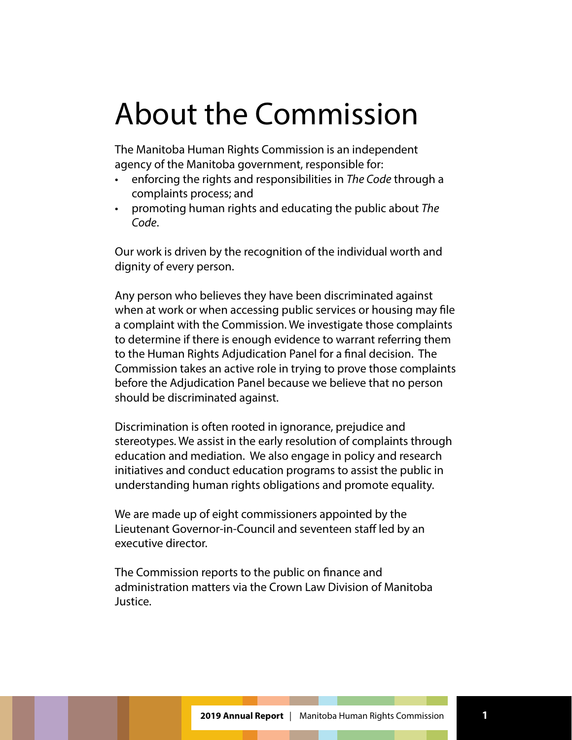# About the Commission

The Manitoba Human Rights Commission is an independent agency of the Manitoba government, responsible for:

- enforcing the rights and responsibilities in *The Code* through a complaints process; and
- promoting human rights and educating the public about *The Code*.

Our work is driven by the recognition of the individual worth and dignity of every person.

Any person who believes they have been discriminated against when at work or when accessing public services or housing may file a complaint with the Commission. We investigate those complaints to determine if there is enough evidence to warrant referring them to the Human Rights Adjudication Panel for a final decision. The Commission takes an active role in trying to prove those complaints before the Adjudication Panel because we believe that no person should be discriminated against.

Discrimination is often rooted in ignorance, prejudice and stereotypes. We assist in the early resolution of complaints through education and mediation. We also engage in policy and research initiatives and conduct education programs to assist the public in understanding human rights obligations and promote equality.

We are made up of eight commissioners appointed by the Lieutenant Governor-in-Council and seventeen staff led by an executive director.

The Commission reports to the public on finance and administration matters via the Crown Law Division of Manitoba Justice.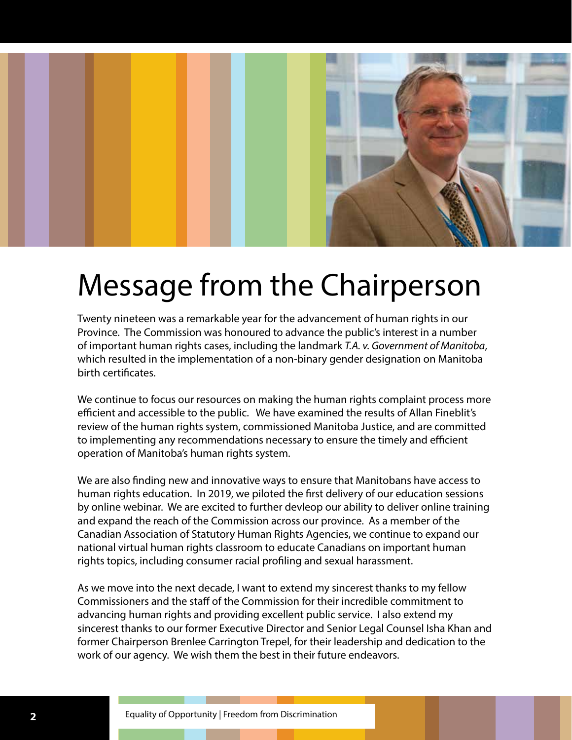

# Message from the Chairperson

Twenty nineteen was a remarkable year for the advancement of human rights in our Province. The Commission was honoured to advance the public's interest in a number of important human rights cases, including the landmark *T.A. v. Government of Manitoba*, which resulted in the implementation of a non-binary gender designation on Manitoba birth certificates.

We continue to focus our resources on making the human rights complaint process more efficient and accessible to the public. We have examined the results of Allan Fineblit's review of the human rights system, commissioned Manitoba Justice, and are committed to implementing any recommendations necessary to ensure the timely and efficient operation of Manitoba's human rights system.

We are also finding new and innovative ways to ensure that Manitobans have access to human rights education. In 2019, we piloted the first delivery of our education sessions by online webinar. We are excited to further devleop our ability to deliver online training and expand the reach of the Commission across our province. As a member of the Canadian Association of Statutory Human Rights Agencies, we continue to expand our national virtual human rights classroom to educate Canadians on important human rights topics, including consumer racial profiling and sexual harassment.

As we move into the next decade, I want to extend my sincerest thanks to my fellow Commissioners and the staff of the Commission for their incredible commitment to advancing human rights and providing excellent public service. I also extend my sincerest thanks to our former Executive Director and Senior Legal Counsel Isha Khan and former Chairperson Brenlee Carrington Trepel, for their leadership and dedication to the work of our agency. We wish them the best in their future endeavors.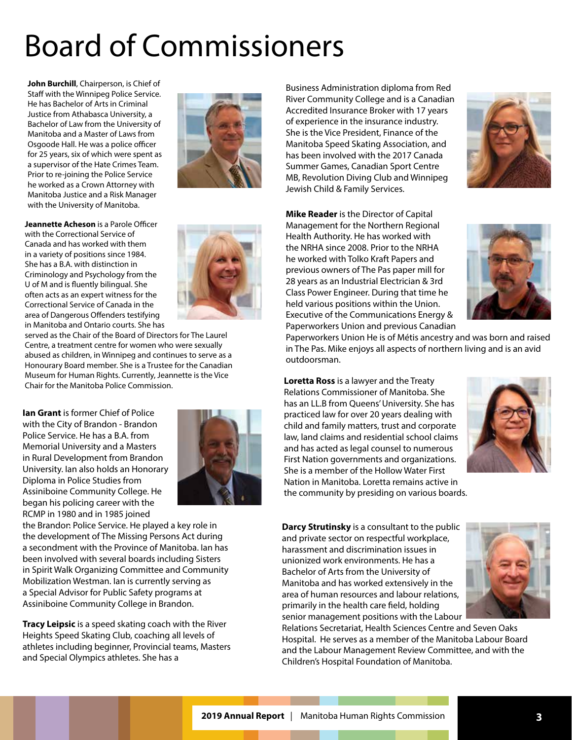# Board of Commissioners

**John Burchill**, Chairperson, is Chief of Staff with the Winnipeg Police Service. He has Bachelor of Arts in Criminal Justice from Athabasca University, a Bachelor of Law from the University of Manitoba and a Master of Laws from Osgoode Hall. He was a police officer for 25 years, six of which were spent as a supervisor of the Hate Crimes Team. Prior to re-joining the Police Service he worked as a Crown Attorney with Manitoba Justice and a Risk Manager with the University of Manitoba.



**Jeannette Acheson** is a Parole Officer with the Correctional Service of Canada and has worked with them in a variety of positions since 1984. She has a B.A. with distinction in Criminology and Psychology from the U of M and is fluently bilingual. She often acts as an expert witness for the Correctional Service of Canada in the area of Dangerous Offenders testifying in Manitoba and Ontario courts. She has

served as the Chair of the Board of Directors for The Laurel Centre, a treatment centre for women who were sexually abused as children, in Winnipeg and continues to serve as a Honourary Board member. She is a Trustee for the Canadian Museum for Human Rights. Currently, Jeannette is the Vice Chair for the Manitoba Police Commission.

**Ian Grant** is former Chief of Police with the City of Brandon - Brandon Police Service. He has a B.A. from Memorial University and a Masters in Rural Development from Brandon University. Ian also holds an Honorary Diploma in Police Studies from Assiniboine Community College. He began his policing career with the RCMP in 1980 and in 1985 joined



the Brandon Police Service. He played a key role in **3**the development of The Missing Persons Act during a secondment with the Province of Manitoba. Ian has been involved with several boards including Sisters in Spirit Walk Organizing Committee and Community Mobilization Westman. Ian is currently serving as a Special Advisor for Public Safety programs at Assiniboine Community College in Brandon.

**Tracy Leipsic** is a speed skating coach with the River Heights Speed Skating Club, coaching all levels of athletes including beginner, Provincial teams, Masters and Special Olympics athletes. She has a

Business Administration diploma from Red River Community College and is a Canadian Accredited Insurance Broker with 17 years of experience in the insurance industry. She is the Vice President, Finance of the Manitoba Speed Skating Association, and has been involved with the 2017 Canada Summer Games, Canadian Sport Centre MB, Revolution Diving Club and Winnipeg Jewish Child & Family Services.



**Mike Reader** is the Director of Capital Management for the Northern Regional Health Authority. He has worked with the NRHA since 2008. Prior to the NRHA he worked with Tolko Kraft Papers and previous owners of The Pas paper mill for 28 years as an Industrial Electrician & 3rd Class Power Engineer. During that time he held various positions within the Union. Executive of the Communications Energy & Paperworkers Union and previous Canadian



Paperworkers Union He is of Métis ancestry and was born and raised in The Pas. Mike enjoys all aspects of northern living and is an avid outdoorsman.

**Loretta Ross** is a lawyer and the Treaty Relations Commissioner of Manitoba. She has an LL.B from Queens' University. She has practiced law for over 20 years dealing with child and family matters, trust and corporate law, land claims and residential school claims and has acted as legal counsel to numerous First Nation governments and organizations. She is a member of the Hollow Water First Nation in Manitoba. Loretta remains active in the community by presiding on various boards.



**Darcy Strutinsky** is a consultant to the public and private sector on respectful workplace, harassment and discrimination issues in unionized work environments. He has a Bachelor of Arts from the University of Manitoba and has worked extensively in the area of human resources and labour relations, primarily in the health care field, holding senior management positions with the Labour



Relations Secretariat, Health Sciences Centre and Seven Oaks Hospital. He serves as a member of the Manitoba Labour Board and the Labour Management Review Committee, and with the Children's Hospital Foundation of Manitoba.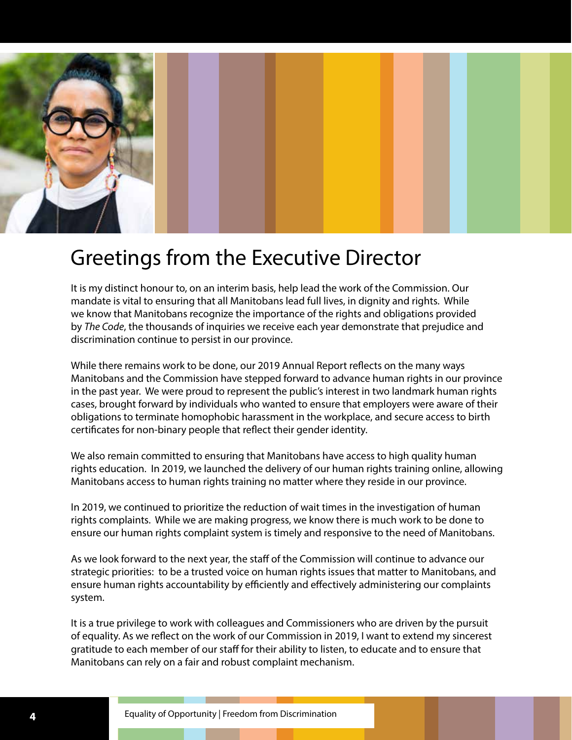

# Greetings from the Executive Director

It is my distinct honour to, on an interim basis, help lead the work of the Commission. Our mandate is vital to ensuring that all Manitobans lead full lives, in dignity and rights. While we know that Manitobans recognize the importance of the rights and obligations provided by *The Code*, the thousands of inquiries we receive each year demonstrate that prejudice and discrimination continue to persist in our province.

While there remains work to be done, our 2019 Annual Report reflects on the many ways Manitobans and the Commission have stepped forward to advance human rights in our province in the past year. We were proud to represent the public's interest in two landmark human rights cases, brought forward by individuals who wanted to ensure that employers were aware of their obligations to terminate homophobic harassment in the workplace, and secure access to birth certificates for non-binary people that reflect their gender identity.

We also remain committed to ensuring that Manitobans have access to high quality human rights education. In 2019, we launched the delivery of our human rights training online, allowing Manitobans access to human rights training no matter where they reside in our province.

In 2019, we continued to prioritize the reduction of wait times in the investigation of human rights complaints. While we are making progress, we know there is much work to be done to ensure our human rights complaint system is timely and responsive to the need of Manitobans.

As we look forward to the next year, the staff of the Commission will continue to advance our strategic priorities: to be a trusted voice on human rights issues that matter to Manitobans, and ensure human rights accountability by efficiently and effectively administering our complaints system.

It is a true privilege to work with colleagues and Commissioners who are driven by the pursuit of equality. As we reflect on the work of our Commission in 2019, I want to extend my sincerest gratitude to each member of our staff for their ability to listen, to educate and to ensure that Manitobans can rely on a fair and robust complaint mechanism.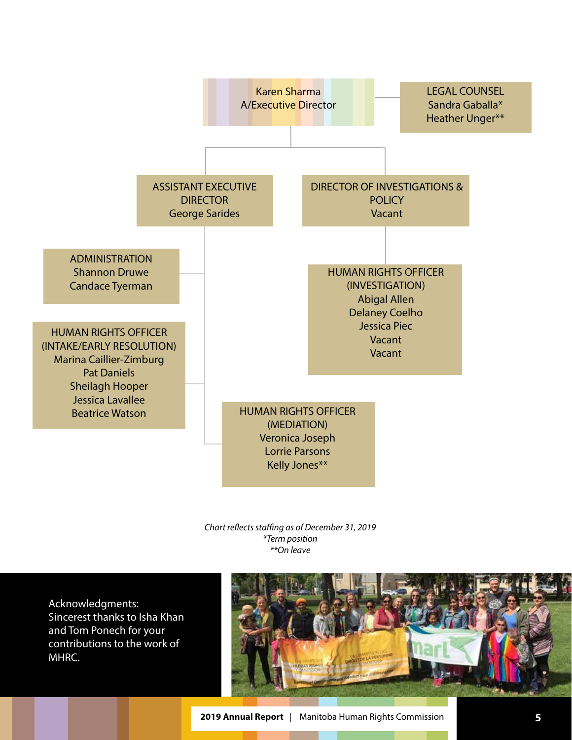

*Chart reflects staffing as of December 31, 2019 \*Term position \*\*On leave*

Acknowledgments: Sincerest thanks to Isha Khan and Tom Ponech for your contributions to the work of MHRC.

![](_page_10_Picture_3.jpeg)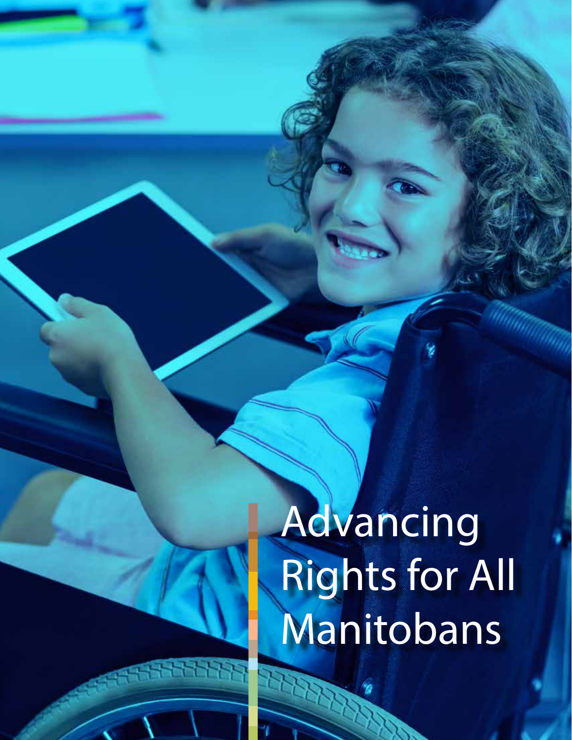# Advancing Rights for All Manitobans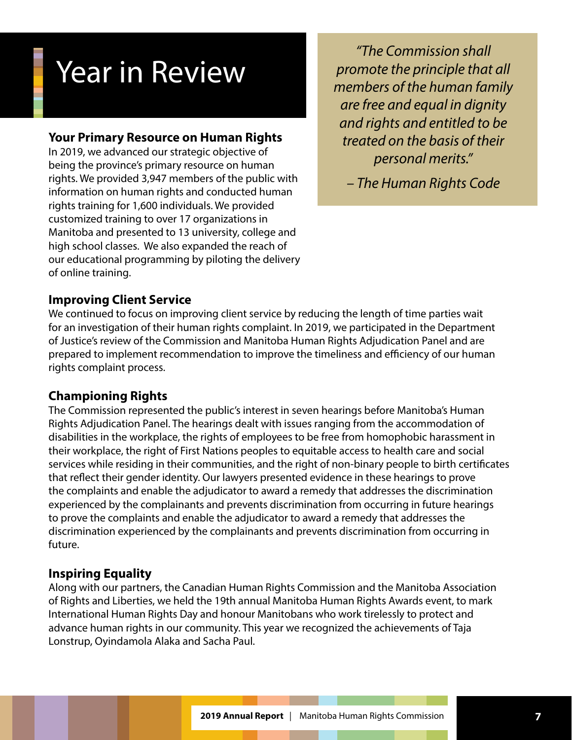# Year in Review

#### **Your Primary Resource on Human Rights**

In 2019, we advanced our strategic objective of being the province's primary resource on human rights. We provided 3,947 members of the public with information on human rights and conducted human rights training for 1,600 individuals. We provided customized training to over 17 organizations in Manitoba and presented to 13 university, college and high school classes. We also expanded the reach of our educational programming by piloting the delivery of online training.

*"The Commission shall promote the principle that all members of the human family are free and equal in dignity and rights and entitled to be treated on the basis of their personal merits."*

*– The Human Rights Code*

#### **Improving Client Service**

We continued to focus on improving client service by reducing the length of time parties wait for an investigation of their human rights complaint. In 2019, we participated in the Department of Justice's review of the Commission and Manitoba Human Rights Adjudication Panel and are prepared to implement recommendation to improve the timeliness and efficiency of our human rights complaint process.

#### **Championing Rights**

The Commission represented the public's interest in seven hearings before Manitoba's Human Rights Adjudication Panel. The hearings dealt with issues ranging from the accommodation of disabilities in the workplace, the rights of employees to be free from homophobic harassment in their workplace, the right of First Nations peoples to equitable access to health care and social services while residing in their communities, and the right of non-binary people to birth certificates that reflect their gender identity. Our lawyers presented evidence in these hearings to prove the complaints and enable the adjudicator to award a remedy that addresses the discrimination experienced by the complainants and prevents discrimination from occurring in future hearings to prove the complaints and enable the adjudicator to award a remedy that addresses the discrimination experienced by the complainants and prevents discrimination from occurring in future.

#### **Inspiring Equality**

Along with our partners, the Canadian Human Rights Commission and the Manitoba Association of Rights and Liberties, we held the 19th annual Manitoba Human Rights Awards event, to mark International Human Rights Day and honour Manitobans who work tirelessly to protect and advance human rights in our community. This year we recognized the achievements of Taja Lonstrup, Oyindamola Alaka and Sacha Paul.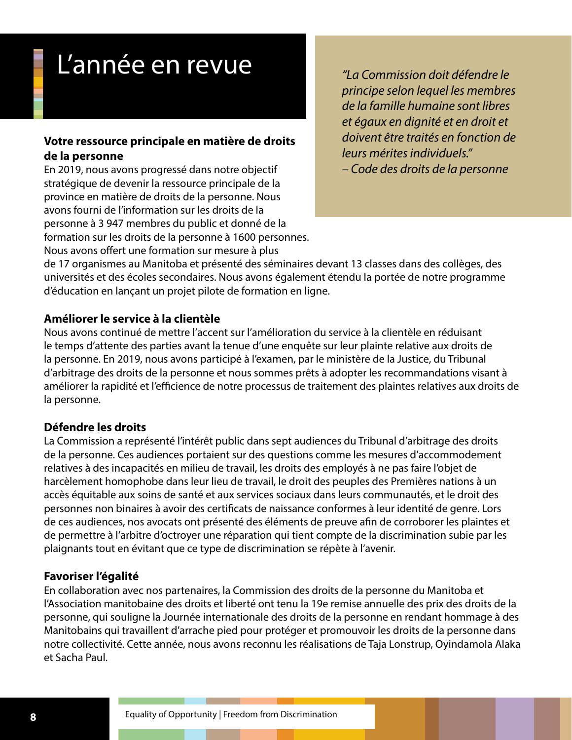# L'année en revue

#### **Votre ressource principale en matière de droits de la personne**

En 2019, nous avons progressé dans notre objectif stratégique de devenir la ressource principale de la province en matière de droits de la personne. Nous avons fourni de l'information sur les droits de la personne à 3 947 membres du public et donné de la formation sur les droits de la personne à 1600 personnes. Nous avons offert une formation sur mesure à plus

*"La Commission doit défendre le principe selon lequel les membres de la famille humaine sont libres et égaux en dignité et en droit et doivent être traités en fonction de leurs mérites individuels." – Code des droits de la personne*

de 17 organismes au Manitoba et présenté des séminaires devant 13 classes dans des collèges, des universités et des écoles secondaires. Nous avons également étendu la portée de notre programme d'éducation en lançant un projet pilote de formation en ligne.

#### **Améliorer le service à la clientèle**

Nous avons continué de mettre l'accent sur l'amélioration du service à la clientèle en réduisant le temps d'attente des parties avant la tenue d'une enquête sur leur plainte relative aux droits de la personne. En 2019, nous avons participé à l'examen, par le ministère de la Justice, du Tribunal d'arbitrage des droits de la personne et nous sommes prêts à adopter les recommandations visant à améliorer la rapidité et l'efficience de notre processus de traitement des plaintes relatives aux droits de la personne.

#### **Défendre les droits**

La Commission a représenté l'intérêt public dans sept audiences du Tribunal d'arbitrage des droits de la personne. Ces audiences portaient sur des questions comme les mesures d'accommodement relatives à des incapacités en milieu de travail, les droits des employés à ne pas faire l'objet de harcèlement homophobe dans leur lieu de travail, le droit des peuples des Premières nations à un accès équitable aux soins de santé et aux services sociaux dans leurs communautés, et le droit des personnes non binaires à avoir des certificats de naissance conformes à leur identité de genre. Lors de ces audiences, nos avocats ont présenté des éléments de preuve afin de corroborer les plaintes et de permettre à l'arbitre d'octroyer une réparation qui tient compte de la discrimination subie par les plaignants tout en évitant que ce type de discrimination se répète à l'avenir.

#### **Favoriser l'égalité**

En collaboration avec nos partenaires, la Commission des droits de la personne du Manitoba et l'Association manitobaine des droits et liberté ont tenu la 19e remise annuelle des prix des droits de la personne, qui souligne la Journée internationale des droits de la personne en rendant hommage à des Manitobains qui travaillent d'arrache pied pour protéger et promouvoir les droits de la personne dans notre collectivité. Cette année, nous avons reconnu les réalisations de Taja Lonstrup, Oyindamola Alaka et Sacha Paul.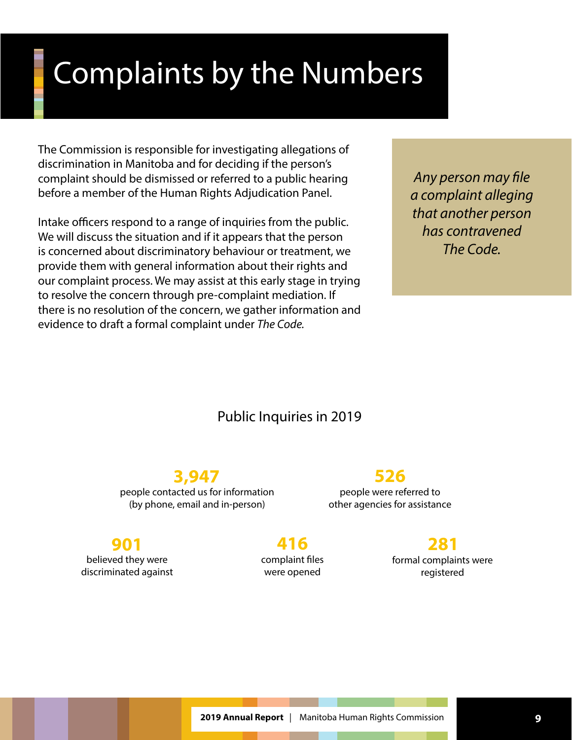# Complaints by the Numbers

The Commission is responsible for investigating allegations of discrimination in Manitoba and for deciding if the person's complaint should be dismissed or referred to a public hearing before a member of the Human Rights Adjudication Panel.

Intake officers respond to a range of inquiries from the public. We will discuss the situation and if it appears that the person is concerned about discriminatory behaviour or treatment, we provide them with general information about their rights and our complaint process. We may assist at this early stage in trying to resolve the concern through pre-complaint mediation. If there is no resolution of the concern, we gather information and evidence to draft a formal complaint under *The Code.*

*Any person may file a complaint alleging that another person has contravened The Code.*

### Public Inquiries in 2019

# **3,947 526**

people contacted us for information (by phone, email and in-person)

people were referred to other agencies for assistance

#### **901**

believed they were discriminated against

# **416**

complaint files were opened

#### formal complaints were **281**

registered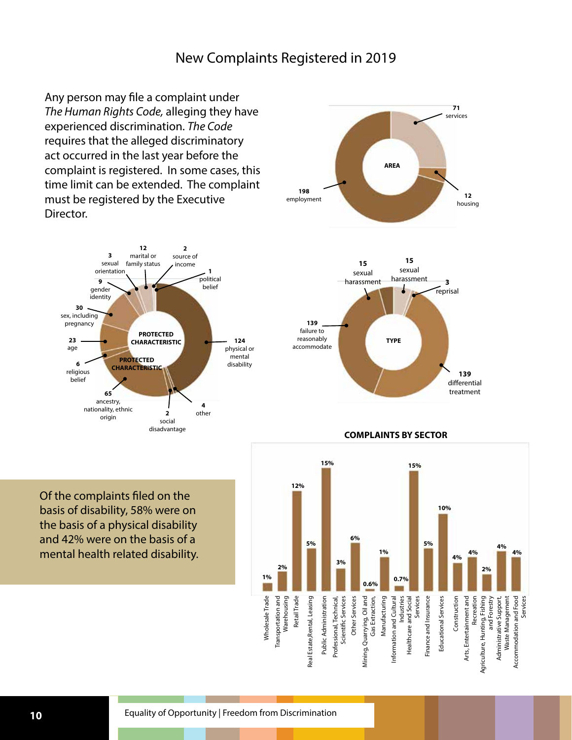#### New Complaints Registered in 2019

Any person may file a complaint under *The Human Rights Code,* alleging they have experienced discrimination. *The Code* requires that the alleged discriminatory act occurred in the last year before the complaint is registered. In some cases, this time limit can be extended. The complaint must be registered by the Executive Director.

![](_page_15_Figure_2.jpeg)

![](_page_15_Figure_3.jpeg)

**COMPLAINTS BY SECTOR**

Of the complaints filed on the basis of disability, 58% were on the basis of a physical disability and 42% were on the basis of a mental health related disability.

![](_page_15_Figure_6.jpeg)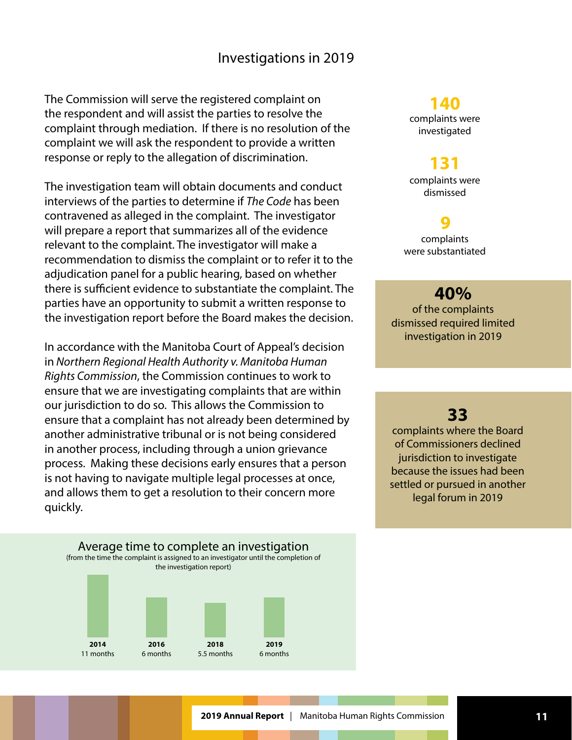#### Investigations in 2019

The Commission will serve the registered complaint on the respondent and will assist the parties to resolve the complaint through mediation. If there is no resolution of the complaint we will ask the respondent to provide a written response or reply to the allegation of discrimination.

The investigation team will obtain documents and conduct interviews of the parties to determine if *The Code* has been contravened as alleged in the complaint. The investigator will prepare a report that summarizes all of the evidence relevant to the complaint. The investigator will make a recommendation to dismiss the complaint or to refer it to the adjudication panel for a public hearing, based on whether there is sufficient evidence to substantiate the complaint. The parties have an opportunity to submit a written response to the investigation report before the Board makes the decision.

In accordance with the Manitoba Court of Appeal's decision in *Northern Regional Health Authority v. Manitoba Human Rights Commission*, the Commission continues to work to ensure that we are investigating complaints that are within our jurisdiction to do so. This allows the Commission to ensure that a complaint has not already been determined by another administrative tribunal or is not being considered in another process, including through a union grievance process. Making these decisions early ensures that a person is not having to navigate multiple legal processes at once, and allows them to get a resolution to their concern more quickly.

![](_page_16_Figure_4.jpeg)

**140**

complaints were investigated

# **131**

complaints were dismissed

complaints were substantiated **9**

### **40%**

of the complaints dismissed required limited investigation in 2019

# **33**

complaints where the Board of Commissioners declined jurisdiction to investigate because the issues had been settled or pursued in another legal forum in 2019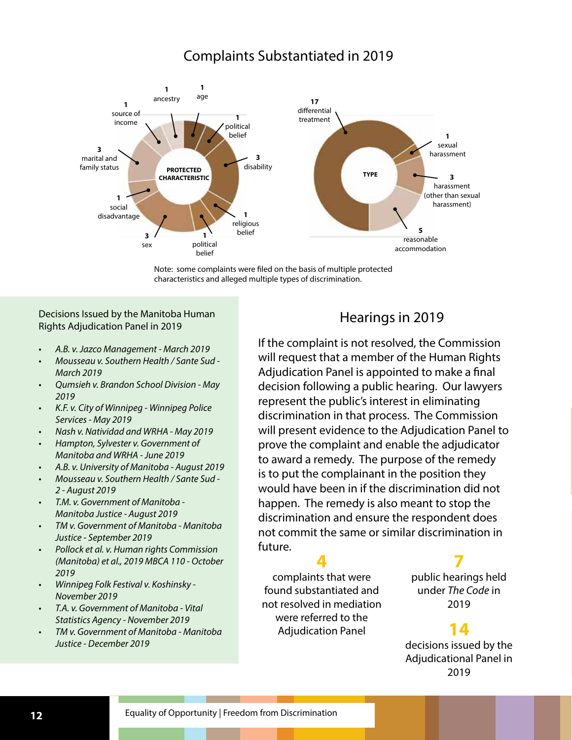### Complaints Substantiated in 2019

![](_page_17_Figure_1.jpeg)

Note: some complaints were filed on the basis of multiple protected characteristics and alleged multiple types of discrimination.

#### Decisions Issued by the Manitoba Human Rights Adjudication Panel in 2019

- *• A.B. v. Jazco Management March 2019*
- *• Mousseau v. Southern Health / Sante Sud March 2019*
- *• Qumsieh v. Brandon School Division May 2019*
- *• K.F. v. City of Winnipeg Winnipeg Police Services - May 2019*
- *• Nash v. Natividad and WRHA May 2019*
- *• Hampton, Sylvester v. Government of Manitoba and WRHA - June 2019*
- *• A.B. v. University of Manitoba August 2019*
- *• Mousseau v. Southern Health / Sante Sud 2 - August 2019*
- *• T.M. v. Government of Manitoba Manitoba Justice - August 2019*
- *• TM v. Government of Manitoba Manitoba Justice - September 2019*
- *• Pollock et al. v. Human rights Commission (Manitoba) et al., 2019 MBCA 110 - October 2019*
- *• Winnipeg Folk Festival v. Koshinsky November 2019*
- *• T.A. v. Government of Manitoba Vital Statistics Agency - November 2019*
- *• TM v. Government of Manitoba Manitoba Justice - December 2019*

## Hearings in 2019

If the complaint is not resolved, the Commission will request that a member of the Human Rights Adjudication Panel is appointed to make a final decision following a public hearing. Our lawyers represent the public's interest in eliminating discrimination in that process. The Commission will present evidence to the Adjudication Panel to prove the complaint and enable the adjudicator to award a remedy. The purpose of the remedy is to put the complainant in the position they would have been in if the discrimination did not happen. The remedy is also meant to stop the discrimination and ensure the respondent does not commit the same or similar discrimination in future.

# **4**

complaints that were found substantiated and not resolved in mediation were referred to the Adjudication Panel

**7** public hearings held under *The Code* in 2019

# **14**

decisions issued by the Adjudicational Panel in 2019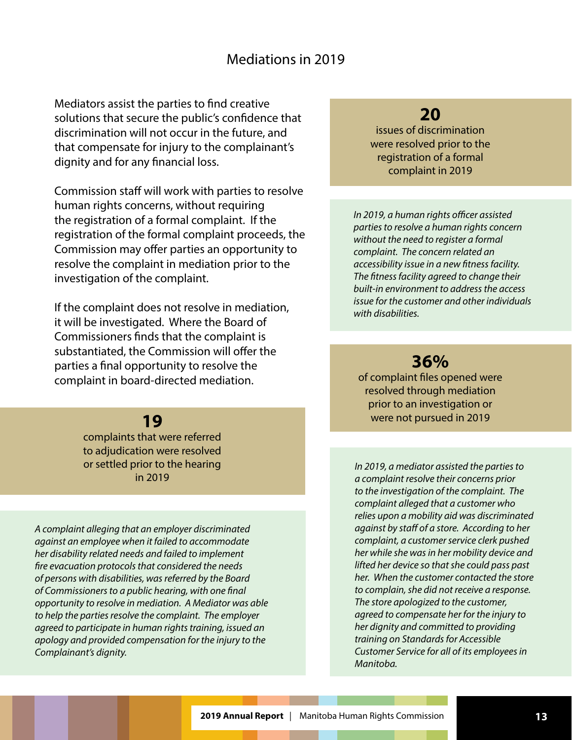#### Mediations in 2019

Mediators assist the parties to find creative solutions that secure the public's confidence that discrimination will not occur in the future, and that compensate for injury to the complainant's dignity and for any financial loss.

Commission staff will work with parties to resolve human rights concerns, without requiring the registration of a formal complaint. If the registration of the formal complaint proceeds, the Commission may offer parties an opportunity to resolve the complaint in mediation prior to the investigation of the complaint.

If the complaint does not resolve in mediation, it will be investigated. Where the Board of Commissioners finds that the complaint is substantiated, the Commission will offer the parties a final opportunity to resolve the complaint in board-directed mediation.

### **20**

issues of discrimination were resolved prior to the registration of a formal complaint in 2019

*In 2019, a human rights officer assisted parties to resolve a human rights concern without the need to register a formal complaint. The concern related an accessibility issue in a new fitness facility. The fitness facility agreed to change their built-in environment to address the access issue for the customer and other individuals with disabilities.*

## **36%**

of complaint files opened were resolved through mediation prior to an investigation or were not pursued in 2019

*In 2019, a mediator assisted the parties to a complaint resolve their concerns prior to the investigation of the complaint. The complaint alleged that a customer who relies upon a mobility aid was discriminated against by staff of a store. According to her complaint, a customer service clerk pushed her while she was in her mobility device and lifted her device so that she could pass past her. When the customer contacted the store to complain, she did not receive a response. The store apologized to the customer, agreed to compensate her for the injury to her dignity and committed to providing training on Standards for Accessible Customer Service for all of its employees in Manitoba.*

## **19**

complaints that were referred to adjudication were resolved or settled prior to the hearing in 2019

*A complaint alleging that an employer discriminated against an employee when it failed to accommodate her disability related needs and failed to implement fire evacuation protocols that considered the needs of persons with disabilities, was referred by the Board of Commissioners to a public hearing, with one final opportunity to resolve in mediation. A Mediator was able to help the parties resolve the complaint. The employer agreed to participate in human rights training, issued an apology and provided compensation for the injury to the Complainant's dignity.*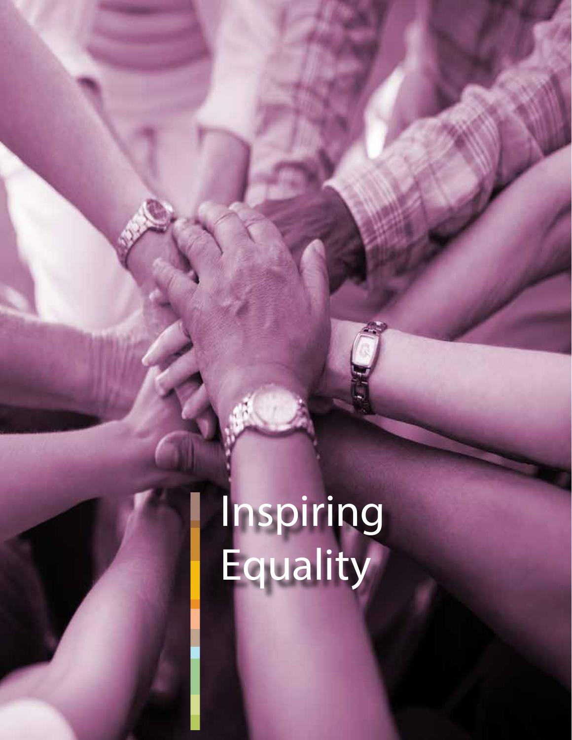# **Inspiring Equality**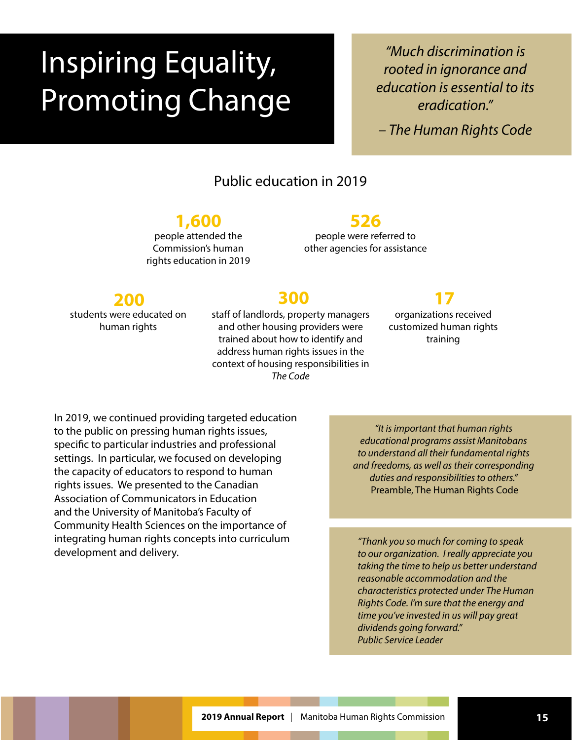# Inspiring Equality, Promoting Change

*"Much discrimination is rooted in ignorance and education is essential to its eradication."* 

*– The Human Rights Code*

## Public education in 2019

## **1,600**

people attended the Commission's human rights education in 2019

# **526**

people were referred to other agencies for assistance

# **200**

students were educated on human rights

### **300**

staff of landlords, property managers and other housing providers were trained about how to identify and address human rights issues in the context of housing responsibilities in *The Code*

# **17**

organizations received customized human rights training

In 2019, we continued providing targeted education to the public on pressing human rights issues, specific to particular industries and professional settings. In particular, we focused on developing the capacity of educators to respond to human rights issues. We presented to the Canadian Association of Communicators in Education and the University of Manitoba's Faculty of Community Health Sciences on the importance of integrating human rights concepts into curriculum development and delivery.

*"It is important that human rights educational programs assist Manitobans to understand all their fundamental rights and freedoms, as well as their corresponding duties and responsibilities to others."* Preamble, The Human Rights Code

*"Thank you so much for coming to speak to our organization. I really appreciate you taking the time to help us better understand reasonable accommodation and the characteristics protected under The Human Rights Code. I'm sure that the energy and time you've invested in us will pay great dividends going forward." Public Service Leader*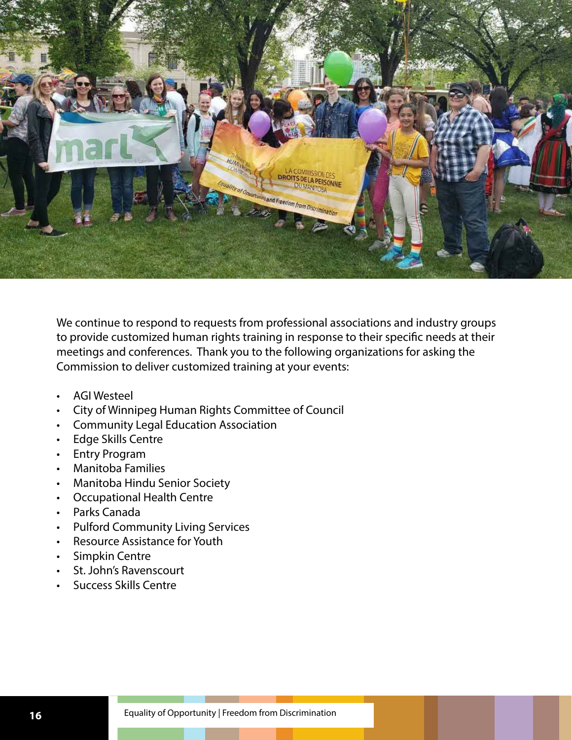![](_page_21_Picture_0.jpeg)

We continue to respond to requests from professional associations and industry groups to provide customized human rights training in response to their specific needs at their meetings and conferences. Thank you to the following organizations for asking the Commission to deliver customized training at your events:

- AGI Westeel
- City of Winnipeg Human Rights Committee of Council
- Community Legal Education Association
- Edge Skills Centre
- Entry Program
- Manitoba Families
- Manitoba Hindu Senior Society
- Occupational Health Centre
- Parks Canada
- Pulford Community Living Services
- Resource Assistance for Youth
- Simpkin Centre
- St. John's Ravenscourt
- Success Skills Centre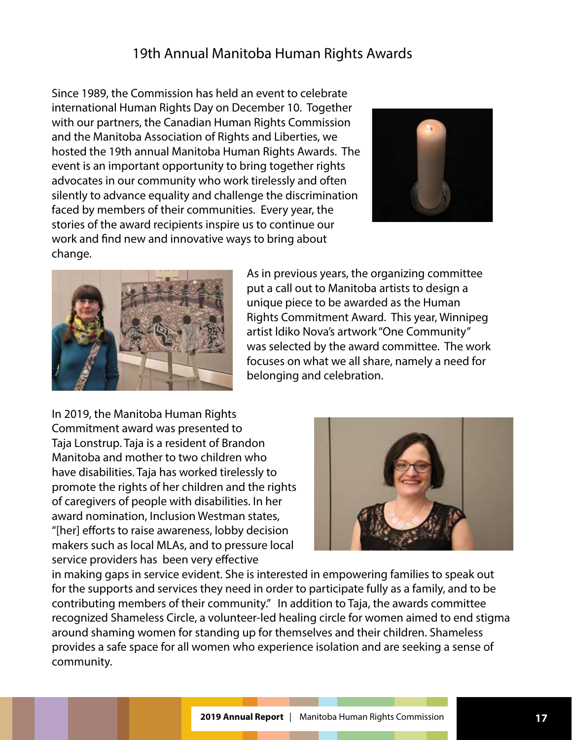## 19th Annual Manitoba Human Rights Awards

Since 1989, the Commission has held an event to celebrate international Human Rights Day on December 10. Together with our partners, the Canadian Human Rights Commission and the Manitoba Association of Rights and Liberties, we hosted the 19th annual Manitoba Human Rights Awards. The event is an important opportunity to bring together rights advocates in our community who work tirelessly and often silently to advance equality and challenge the discrimination faced by members of their communities. Every year, the stories of the award recipients inspire us to continue our work and find new and innovative ways to bring about change.

![](_page_22_Picture_2.jpeg)

![](_page_22_Picture_3.jpeg)

As in previous years, the organizing committee put a call out to Manitoba artists to design a unique piece to be awarded as the Human Rights Commitment Award. This year, Winnipeg artist ldiko Nova's artwork "One Community" was selected by the award committee. The work focuses on what we all share, namely a need for belonging and celebration.

In 2019, the Manitoba Human Rights Commitment award was presented to Taja Lonstrup. Taja is a resident of Brandon Manitoba and mother to two children who have disabilities. Taja has worked tirelessly to promote the rights of her children and the rights of caregivers of people with disabilities. In her award nomination, Inclusion Westman states, "[her] efforts to raise awareness, lobby decision makers such as local MLAs, and to pressure local service providers has been very effective

![](_page_22_Picture_6.jpeg)

in making gaps in service evident. She is interested in empowering families to speak out for the supports and services they need in order to participate fully as a family, and to be contributing members of their community." In addition to Taja, the awards committee recognized Shameless Circle, a volunteer-led healing circle for women aimed to end stigma around shaming women for standing up for themselves and their children. Shameless provides a safe space for all women who experience isolation and are seeking a sense of community.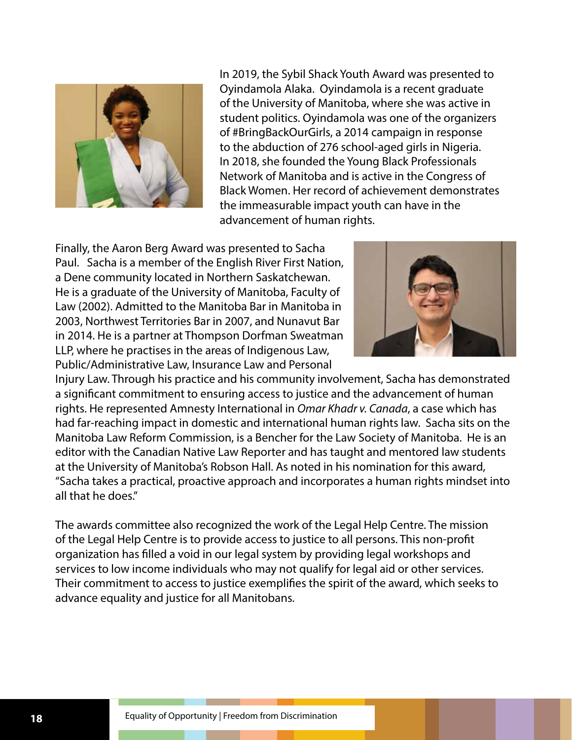![](_page_23_Picture_0.jpeg)

In 2019, the Sybil Shack Youth Award was presented to Oyindamola Alaka. Oyindamola is a recent graduate of the University of Manitoba, where she was active in student politics. Oyindamola was one of the organizers of #BringBackOurGirls, a 2014 campaign in response to the abduction of 276 school-aged girls in Nigeria. In 2018, she founded the Young Black Professionals Network of Manitoba and is active in the Congress of Black Women. Her record of achievement demonstrates the immeasurable impact youth can have in the advancement of human rights.

Finally, the Aaron Berg Award was presented to Sacha Paul. Sacha is a member of the English River First Nation, a Dene community located in Northern Saskatchewan. He is a graduate of the University of Manitoba, Faculty of Law (2002). Admitted to the Manitoba Bar in Manitoba in 2003, Northwest Territories Bar in 2007, and Nunavut Bar in 2014. He is a partner at Thompson Dorfman Sweatman LLP, where he practises in the areas of Indigenous Law, Public/Administrative Law, Insurance Law and Personal

![](_page_23_Picture_3.jpeg)

Injury Law. Through his practice and his community involvement, Sacha has demonstrated a significant commitment to ensuring access to justice and the advancement of human rights. He represented Amnesty International in *Omar Khadr v. Canada*, a case which has had far-reaching impact in domestic and international human rights law. Sacha sits on the Manitoba Law Reform Commission, is a Bencher for the Law Society of Manitoba. He is an editor with the Canadian Native Law Reporter and has taught and mentored law students at the University of Manitoba's Robson Hall. As noted in his nomination for this award, "Sacha takes a practical, proactive approach and incorporates a human rights mindset into all that he does."

The awards committee also recognized the work of the Legal Help Centre. The mission of the Legal Help Centre is to provide access to justice to all persons. This non-profit organization has filled a void in our legal system by providing legal workshops and services to low income individuals who may not qualify for legal aid or other services. Their commitment to access to justice exemplifies the spirit of the award, which seeks to advance equality and justice for all Manitobans.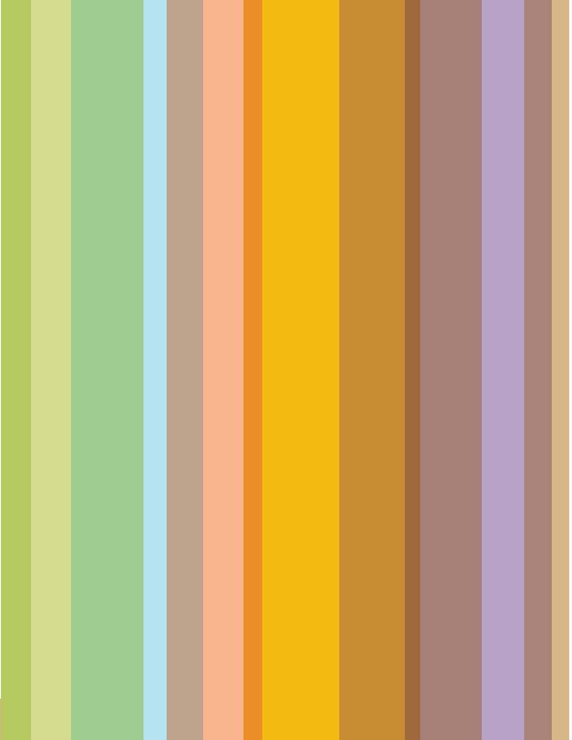![](_page_24_Picture_0.jpeg)